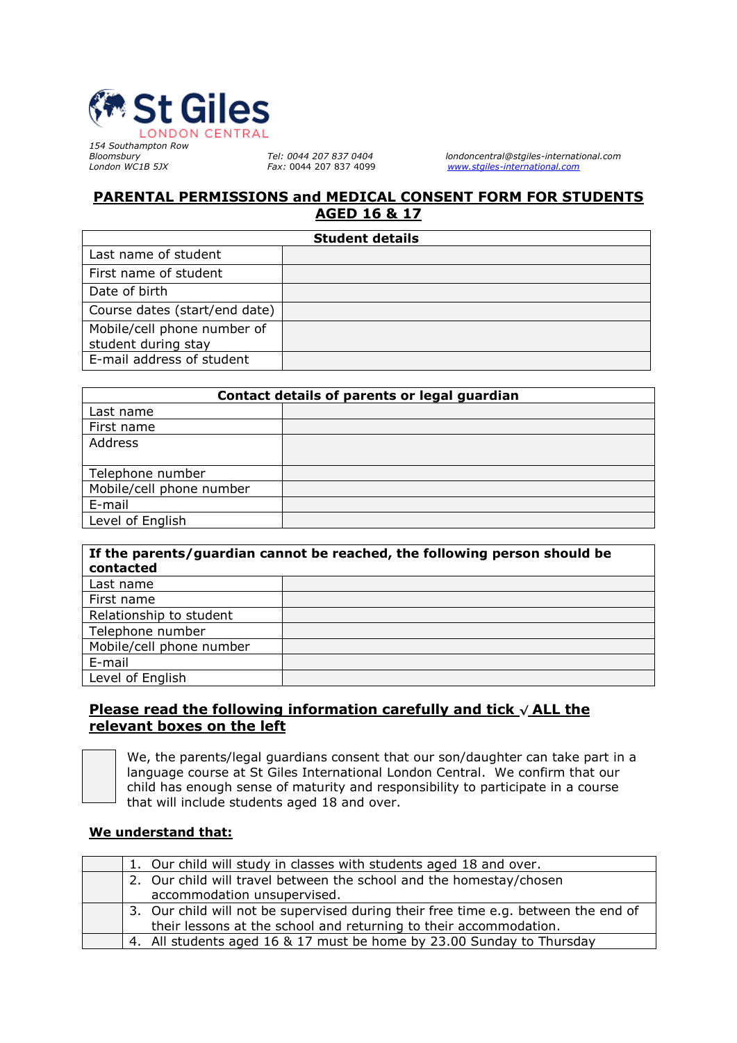

*154 Southampton Row*

*Bloomsbury Tel: 0044 207 837 0404 londoncentral@stgiles-international.com London WC1B 5JX Fax:* 0044 207 837 4099 *[www.stgiles-international.com](http://www.stgiles-international.com/)*

## **PARENTAL PERMISSIONS and MEDICAL CONSENT FORM FOR STUDENTS AGED 16 & 17**

| <b>Student details</b>        |  |  |  |  |
|-------------------------------|--|--|--|--|
| Last name of student          |  |  |  |  |
| First name of student         |  |  |  |  |
| Date of birth                 |  |  |  |  |
| Course dates (start/end date) |  |  |  |  |
| Mobile/cell phone number of   |  |  |  |  |
| student during stay           |  |  |  |  |
| E-mail address of student     |  |  |  |  |

| Contact details of parents or legal guardian |  |  |  |
|----------------------------------------------|--|--|--|
| Last name                                    |  |  |  |
| First name                                   |  |  |  |
| Address                                      |  |  |  |
|                                              |  |  |  |
| Telephone number                             |  |  |  |
| Mobile/cell phone number                     |  |  |  |
| E-mail                                       |  |  |  |
| Level of English                             |  |  |  |

| If the parents/guardian cannot be reached, the following person should be<br>contacted |  |  |  |  |
|----------------------------------------------------------------------------------------|--|--|--|--|
| Last name                                                                              |  |  |  |  |
| First name                                                                             |  |  |  |  |
| Relationship to student                                                                |  |  |  |  |
| Telephone number                                                                       |  |  |  |  |
| Mobile/cell phone number                                                               |  |  |  |  |
| E-mail                                                                                 |  |  |  |  |
| Level of English                                                                       |  |  |  |  |

## **Please read the following information carefully and tick √ ALL the relevant boxes on the left**



We, the parents/legal guardians consent that our son/daughter can take part in a language course at St Giles International London Central. We confirm that our child has enough sense of maturity and responsibility to participate in a course that will include students aged 18 and over.

### **We understand that:**

|  | 1. Our child will study in classes with students aged 18 and over.                 |
|--|------------------------------------------------------------------------------------|
|  | 2. Our child will travel between the school and the homestay/chosen                |
|  | accommodation unsupervised.                                                        |
|  | 3. Our child will not be supervised during their free time e.g. between the end of |
|  | their lessons at the school and returning to their accommodation.                  |
|  | 4. All students aged 16 & 17 must be home by 23.00 Sunday to Thursday              |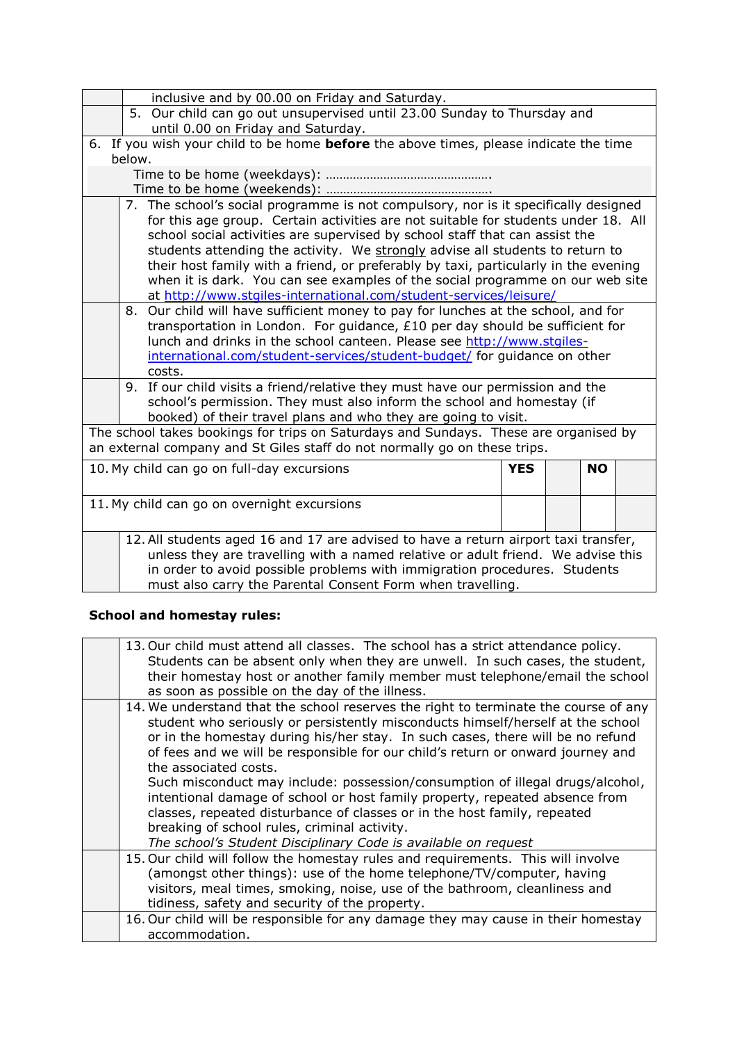|                                                                                                                                                                                                                                                      | inclusive and by 00.00 on Friday and Saturday.                                                                                                                                                                                                                                                                                                                                                                                                                                                                                                                                         |            |  |           |  |  |  |
|------------------------------------------------------------------------------------------------------------------------------------------------------------------------------------------------------------------------------------------------------|----------------------------------------------------------------------------------------------------------------------------------------------------------------------------------------------------------------------------------------------------------------------------------------------------------------------------------------------------------------------------------------------------------------------------------------------------------------------------------------------------------------------------------------------------------------------------------------|------------|--|-----------|--|--|--|
|                                                                                                                                                                                                                                                      | 5. Our child can go out unsupervised until 23.00 Sunday to Thursday and                                                                                                                                                                                                                                                                                                                                                                                                                                                                                                                |            |  |           |  |  |  |
|                                                                                                                                                                                                                                                      | until 0.00 on Friday and Saturday.                                                                                                                                                                                                                                                                                                                                                                                                                                                                                                                                                     |            |  |           |  |  |  |
|                                                                                                                                                                                                                                                      | 6. If you wish your child to be home before the above times, please indicate the time                                                                                                                                                                                                                                                                                                                                                                                                                                                                                                  |            |  |           |  |  |  |
| below.                                                                                                                                                                                                                                               |                                                                                                                                                                                                                                                                                                                                                                                                                                                                                                                                                                                        |            |  |           |  |  |  |
|                                                                                                                                                                                                                                                      |                                                                                                                                                                                                                                                                                                                                                                                                                                                                                                                                                                                        |            |  |           |  |  |  |
|                                                                                                                                                                                                                                                      |                                                                                                                                                                                                                                                                                                                                                                                                                                                                                                                                                                                        |            |  |           |  |  |  |
|                                                                                                                                                                                                                                                      | 7. The school's social programme is not compulsory, nor is it specifically designed<br>for this age group. Certain activities are not suitable for students under 18. All<br>school social activities are supervised by school staff that can assist the<br>students attending the activity. We strongly advise all students to return to<br>their host family with a friend, or preferably by taxi, particularly in the evening<br>when it is dark. You can see examples of the social programme on our web site<br>at http://www.stgiles-international.com/student-services/leisure/ |            |  |           |  |  |  |
|                                                                                                                                                                                                                                                      | Our child will have sufficient money to pay for lunches at the school, and for<br>8.<br>transportation in London. For guidance, $£10$ per day should be sufficient for<br>lunch and drinks in the school canteen. Please see http://www.stgiles-<br>international.com/student-services/student-budget/ for guidance on other<br>costs.                                                                                                                                                                                                                                                 |            |  |           |  |  |  |
|                                                                                                                                                                                                                                                      | 9. If our child visits a friend/relative they must have our permission and the                                                                                                                                                                                                                                                                                                                                                                                                                                                                                                         |            |  |           |  |  |  |
|                                                                                                                                                                                                                                                      | school's permission. They must also inform the school and homestay (if                                                                                                                                                                                                                                                                                                                                                                                                                                                                                                                 |            |  |           |  |  |  |
|                                                                                                                                                                                                                                                      | booked) of their travel plans and who they are going to visit.                                                                                                                                                                                                                                                                                                                                                                                                                                                                                                                         |            |  |           |  |  |  |
|                                                                                                                                                                                                                                                      | The school takes bookings for trips on Saturdays and Sundays. These are organised by                                                                                                                                                                                                                                                                                                                                                                                                                                                                                                   |            |  |           |  |  |  |
|                                                                                                                                                                                                                                                      | an external company and St Giles staff do not normally go on these trips.                                                                                                                                                                                                                                                                                                                                                                                                                                                                                                              |            |  |           |  |  |  |
|                                                                                                                                                                                                                                                      | 10. My child can go on full-day excursions                                                                                                                                                                                                                                                                                                                                                                                                                                                                                                                                             | <b>YES</b> |  | <b>NO</b> |  |  |  |
|                                                                                                                                                                                                                                                      |                                                                                                                                                                                                                                                                                                                                                                                                                                                                                                                                                                                        |            |  |           |  |  |  |
| 11. My child can go on overnight excursions                                                                                                                                                                                                          |                                                                                                                                                                                                                                                                                                                                                                                                                                                                                                                                                                                        |            |  |           |  |  |  |
|                                                                                                                                                                                                                                                      |                                                                                                                                                                                                                                                                                                                                                                                                                                                                                                                                                                                        |            |  |           |  |  |  |
| 12. All students aged 16 and 17 are advised to have a return airport taxi transfer,<br>unless they are travelling with a named relative or adult friend. We advise this<br>in order to avoid possible problems with immigration procedures. Students |                                                                                                                                                                                                                                                                                                                                                                                                                                                                                                                                                                                        |            |  |           |  |  |  |
|                                                                                                                                                                                                                                                      | must also carry the Parental Consent Form when travelling.                                                                                                                                                                                                                                                                                                                                                                                                                                                                                                                             |            |  |           |  |  |  |

# **School and homestay rules:**

| 13. Our child must attend all classes. The school has a strict attendance policy.<br>Students can be absent only when they are unwell. In such cases, the student,<br>their homestay host or another family member must telephone/email the school<br>as soon as possible on the day of the illness.                                                                                                                                                                                                                                                                                                                                                                                                                               |
|------------------------------------------------------------------------------------------------------------------------------------------------------------------------------------------------------------------------------------------------------------------------------------------------------------------------------------------------------------------------------------------------------------------------------------------------------------------------------------------------------------------------------------------------------------------------------------------------------------------------------------------------------------------------------------------------------------------------------------|
| 14. We understand that the school reserves the right to terminate the course of any<br>student who seriously or persistently misconducts himself/herself at the school<br>or in the homestay during his/her stay. In such cases, there will be no refund<br>of fees and we will be responsible for our child's return or onward journey and<br>the associated costs.<br>Such misconduct may include: possession/consumption of illegal drugs/alcohol,<br>intentional damage of school or host family property, repeated absence from<br>classes, repeated disturbance of classes or in the host family, repeated<br>breaking of school rules, criminal activity.<br>The school's Student Disciplinary Code is available on request |
| 15. Our child will follow the homestay rules and requirements. This will involve<br>(amongst other things): use of the home telephone/TV/computer, having<br>visitors, meal times, smoking, noise, use of the bathroom, cleanliness and<br>tidiness, safety and security of the property.                                                                                                                                                                                                                                                                                                                                                                                                                                          |
| 16. Our child will be responsible for any damage they may cause in their homestay<br>accommodation.                                                                                                                                                                                                                                                                                                                                                                                                                                                                                                                                                                                                                                |